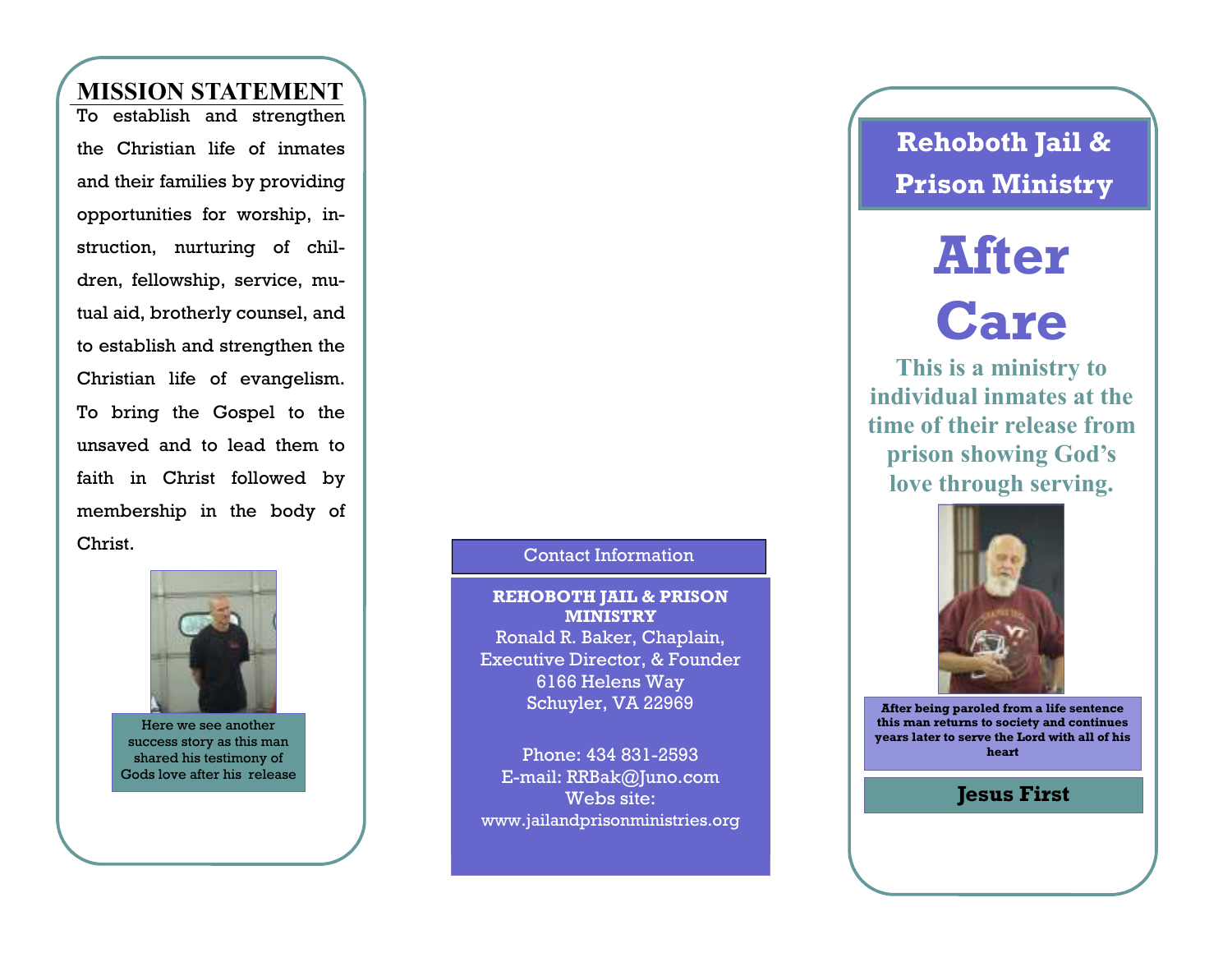### **MISSION STATEMENT**

 To establish and strengthen the Christian life of inmates and their families by providing opportunities for worship, instruction, nurturing of children, fellowship, service, mutual aid, brotherly counsel, and to establish and strengthen the Christian life of evangelism. To bring the Gospel to the unsaved and to lead them to faith in Christ followed by membership in the body of Christ. Contact Information



Here we see another success story as this man shared his testimony of Gods love after his release

**REHOBOTH JAIL & PRISON MINISTRY** Ronald R. Baker, Chaplain, Executive Director, & Founder

6166 Helens Way Schuyler, VA 22969

Phone: 434 831-2593 E-mail: RRBak@Juno.com Webs site: www.jailandprisonministries.org **Rehoboth Jail & Prison Ministry** 

# **After**

## **Care**

 **This is a ministry to individual inmates at the time of their release from prison showing God's love through serving.** 



**After being paroled from a life sentence this man returns to society and continues years later to serve the Lord with all of his heart** 

#### **Jesus First**